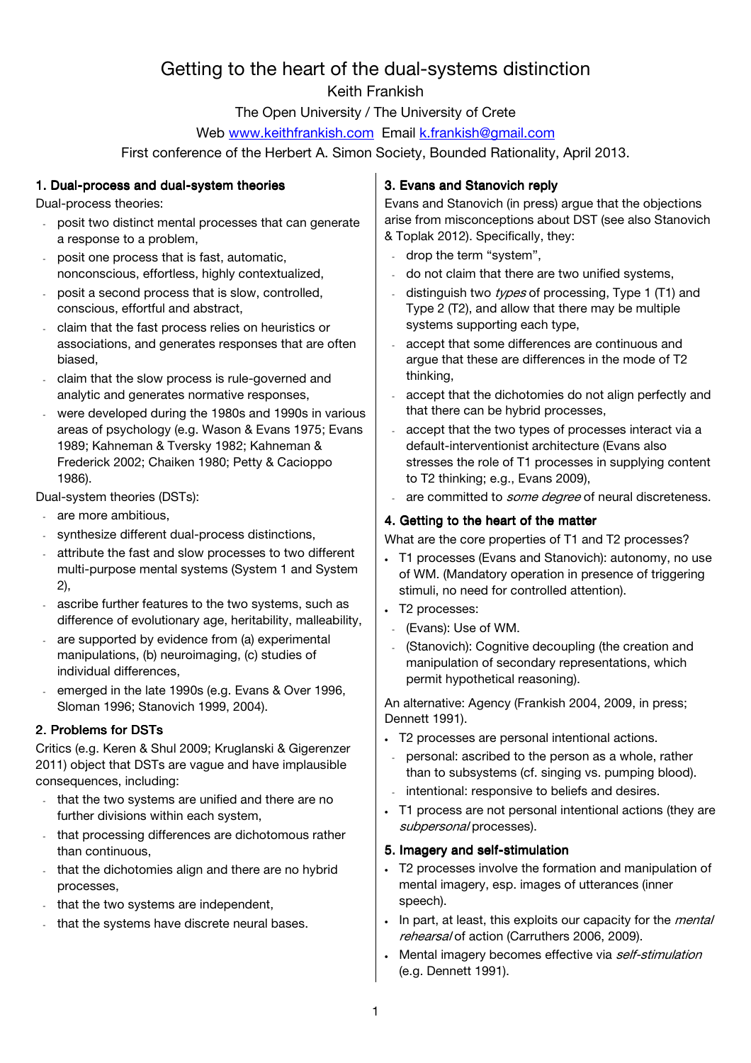# Getting to the heart of the dual-systems distinction Keith Frankish

The Open University / The University of Crete

Web www.keithfrankish.com Email k.frankish@gmail.com

First conference of the Herbert A. Simon Society, Bounded Rationality, April 2013.

## 1. Dual-process and dual-system theories

Dual-process theories:

- posit two distinct mental processes that can generate a response to a problem,
- posit one process that is fast, automatic, nonconscious, effortless, highly contextualized,
- posit a second process that is slow, controlled, conscious, effortful and abstract,
- claim that the fast process relies on heuristics or associations, and generates responses that are often biased,
- claim that the slow process is rule-governed and analytic and generates normative responses,
- were developed during the 1980s and 1990s in various areas of psychology (e.g. Wason & Evans 1975; Evans 1989; Kahneman & Tversky 1982; Kahneman & Frederick 2002; Chaiken 1980; Petty & Cacioppo 1986).

Dual-system theories (DSTs):

- are more ambitious.
- synthesize different dual-process distinctions,
- attribute the fast and slow processes to two different multi-purpose mental systems (System 1 and System 2),
- ascribe further features to the two systems, such as difference of evolutionary age, heritability, malleability,
- are supported by evidence from (a) experimental manipulations, (b) neuroimaging, (c) studies of individual differences,
- emerged in the late 1990s (e.g. Evans & Over 1996, Sloman 1996; Stanovich 1999, 2004).

## 2. Problems for DSTs

Critics (e.g. Keren & Shul 2009; Kruglanski & Gigerenzer 2011) object that DSTs are vague and have implausible consequences, including:

- that the two systems are unified and there are no further divisions within each system,
- that processing differences are dichotomous rather than continuous,
- that the dichotomies align and there are no hybrid processes,
- that the two systems are independent,
- that the systems have discrete neural bases.

## 3. Evans and Stanovich reply

Evans and Stanovich (in press) argue that the objections arise from misconceptions about DST (see also Stanovich & Toplak 2012). Specifically, they:

- drop the term "system",
- do not claim that there are two unified systems,
- distinguish two types of processing, Type 1 (T1) and Type 2 (T2), and allow that there may be multiple systems supporting each type,
- accept that some differences are continuous and argue that these are differences in the mode of T2 thinking,
- accept that the dichotomies do not align perfectly and that there can be hybrid processes,
- accept that the two types of processes interact via a default-interventionist architecture (Evans also stresses the role of T1 processes in supplying content to T2 thinking; e.g., Evans 2009),
- are committed to *some degree* of neural discreteness.

## 4. Getting to the heart of the matter

What are the core properties of T1 and T2 processes?

- T1 processes (Evans and Stanovich): autonomy, no use of WM. (Mandatory operation in presence of triggering stimuli, no need for controlled attention).
- T2 processes:
- (Evans): Use of WM.
- (Stanovich): Cognitive decoupling (the creation and manipulation of secondary representations, which permit hypothetical reasoning).

An alternative: Agency (Frankish 2004, 2009, in press; Dennett 1991).

- T2 processes are personal intentional actions.
- personal: ascribed to the person as a whole, rather than to subsystems (cf. singing vs. pumping blood).
- intentional: responsive to beliefs and desires.
- T1 process are not personal intentional actions (they are subpersonal processes).

#### 5. Imagery and self-stimulation

- T2 processes involve the formation and manipulation of mental imagery, esp. images of utterances (inner speech).
- In part, at least, this exploits our capacity for the *mental* rehearsal of action (Carruthers 2006, 2009).
- Mental imagery becomes effective via self-stimulation (e.g. Dennett 1991).